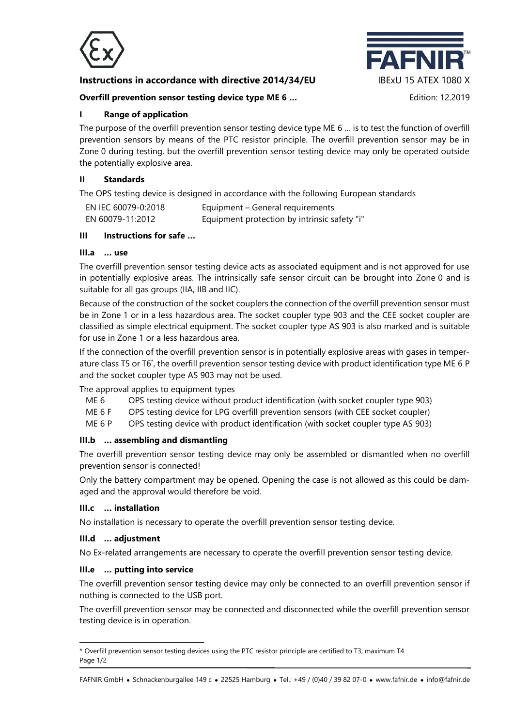

# **Instructions in accordance with directive 2014/34/EU** IBExU 15 ATEX 1080 X



## **Overfill prevention sensor testing device type ME 6 ... <b>Edition: 12.2019** Edition: 12.2019

## **I Range of application**

The purpose of the overfill prevention sensor testing device type ME 6 … is to test the function of overfill prevention sensors by means of the PTC resistor principle. The overfill prevention sensor may be in Zone 0 during testing, but the overfill prevention sensor testing device may only be operated outside the potentially explosive area.

#### **II Standards**

The OPS testing device is designed in accordance with the following European standards

| EN IEC 60079-0:2018 | Equipment – General requirements             |
|---------------------|----------------------------------------------|
| EN 60079-11:2012    | Equipment protection by intrinsic safety "i" |

## **III Instructions for safe …**

## **III.a … use**

The overfill prevention sensor testing device acts as associated equipment and is not approved for use in potentially explosive areas. The intrinsically safe sensor circuit can be brought into Zone 0 and is suitable for all gas groups (IIA, IIB and IIC).

Because of the construction of the socket couplers the connection of the overfill prevention sensor must be in Zone 1 or in a less hazardous area. The socket coupler type 903 and the CEE socket coupler are classified as simple electrical equipment. The socket coupler type AS 903 is also marked and is suitable for use in Zone 1 or a less hazardous area.

If the connection of the overfill prevention sensor is in potentially explosive areas with gases in temperature class T5 or T6\* , the overfill prevention sensor testing device with product identification type ME 6 P and the socket coupler type AS 903 may not be used.

The approval applies to equipment types

- ME 6 OPS testing device without product identification (with socket coupler type 903)
- ME 6 F OPS testing device for LPG overfill prevention sensors (with CEE socket coupler)
- ME 6 P OPS testing device with product identification (with socket coupler type AS 903)

# **III.b … assembling and dismantling**

The overfill prevention sensor testing device may only be assembled or dismantled when no overfill prevention sensor is connected!

Only the battery compartment may be opened. Opening the case is not allowed as this could be damaged and the approval would therefore be void.

#### **III.c … installation**

No installation is necessary to operate the overfill prevention sensor testing device.

#### **III.d … adjustment**

l

No Ex-related arrangements are necessary to operate the overfill prevention sensor testing device.

#### **III.e … putting into service**

The overfill prevention sensor testing device may only be connected to an overfill prevention sensor if nothing is connected to the USB port.

The overfill prevention sensor may be connected and disconnected while the overfill prevention sensor testing device is in operation.

Page 1/2 \* Overfill prevention sensor testing devices using the PTC resistor principle are certified to T3, maximum T4